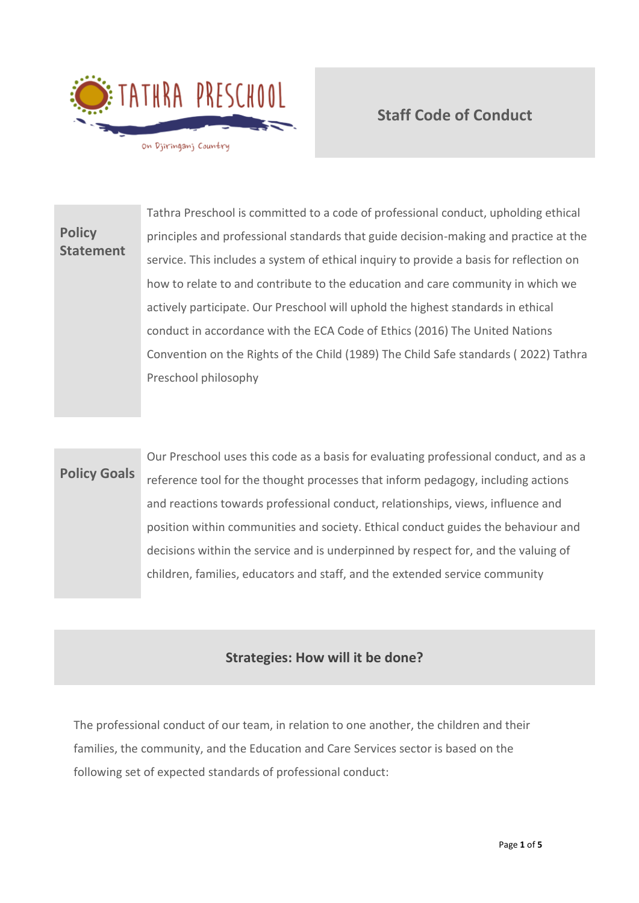

## **Staff Code of Conduct**

# **Policy Statement** Tathra Preschool is committed to a code of professional conduct, upholding ethical principles and professional standards that guide decision-making and practice at the service. This includes a system of ethical inquiry to provide a basis for reflection on how to relate to and contribute to the education and care community in which we actively participate. Our Preschool will uphold the highest standards in ethical conduct in accordance with the ECA Code of Ethics (2016) The United Nations Convention on the Rights of the Child (1989) The Child Safe standards ( 2022) Tathra Preschool philosophy

# **Policy Goals** Our Preschool uses this code as a basis for evaluating professional conduct, and as a reference tool for the thought processes that inform pedagogy, including actions and reactions towards professional conduct, relationships, views, influence and position within communities and society. Ethical conduct guides the behaviour and decisions within the service and is underpinned by respect for, and the valuing of

## **Strategies: How will it be done?**

children, families, educators and staff, and the extended service community

The professional conduct of our team, in relation to one another, the children and their families, the community, and the Education and Care Services sector is based on the following set of expected standards of professional conduct: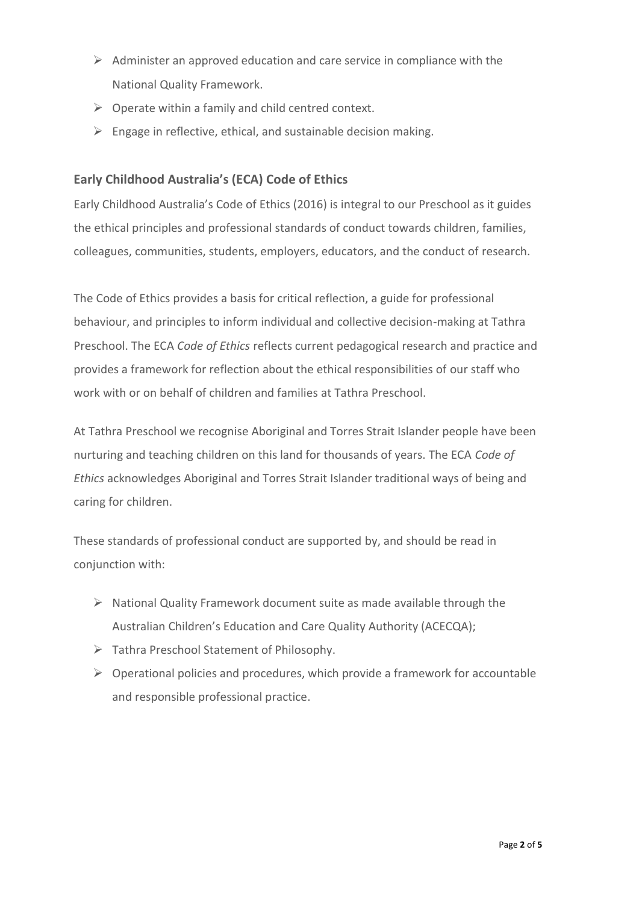- $\triangleright$  Administer an approved education and care service in compliance with the National Quality Framework.
- $\triangleright$  Operate within a family and child centred context.
- $\triangleright$  Engage in reflective, ethical, and sustainable decision making.

### **Early Childhood Australia's (ECA) Code of Ethics**

Early Childhood Australia's Code of Ethics (2016) is integral to our Preschool as it guides the ethical principles and professional standards of conduct towards children, families, colleagues, communities, students, employers, educators, and the conduct of research.

The Code of Ethics provides a basis for critical reflection, a guide for professional behaviour, and principles to inform individual and collective decision-making at Tathra Preschool. The ECA *Code of Ethics* reflects current pedagogical research and practice and provides a framework for reflection about the ethical responsibilities of our staff who work with or on behalf of children and families at Tathra Preschool.

At Tathra Preschool we recognise Aboriginal and Torres Strait Islander people have been nurturing and teaching children on this land for thousands of years. The ECA *Code of Ethics* acknowledges Aboriginal and Torres Strait Islander traditional ways of being and caring for children.

These standards of professional conduct are supported by, and should be read in conjunction with:

- $\triangleright$  National Quality Framework document suite as made available through the Australian Children's Education and Care Quality Authority (ACECQA);
- ➢ Tathra Preschool Statement of Philosophy.
- $\triangleright$  Operational policies and procedures, which provide a framework for accountable and responsible professional practice.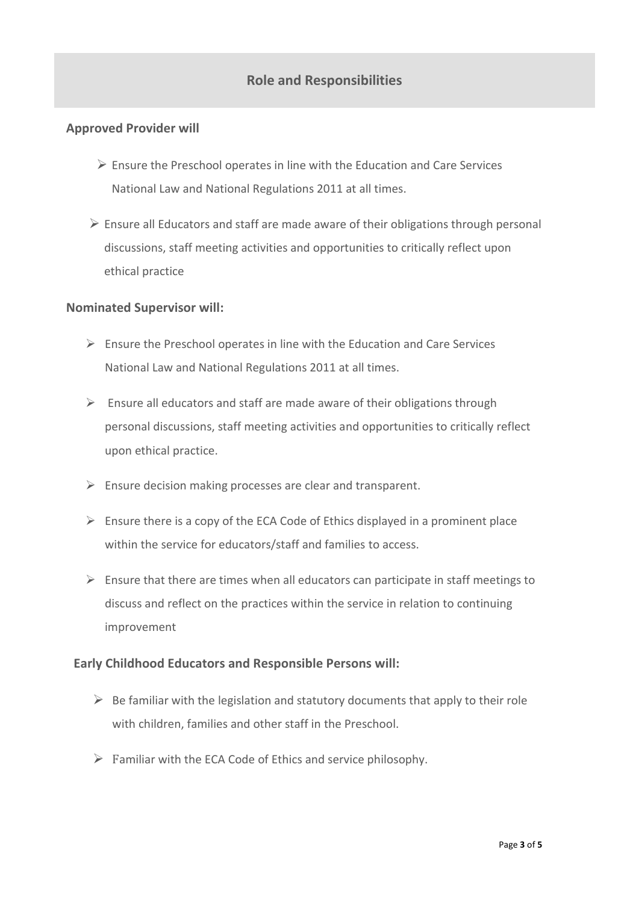## **Role and Responsibilities**

### **Approved Provider will**

- $\triangleright$  Ensure the Preschool operates in line with the Education and Care Services National Law and National Regulations 2011 at all times.
- $\triangleright$  Ensure all Educators and staff are made aware of their obligations through personal discussions, staff meeting activities and opportunities to critically reflect upon ethical practice

#### **Nominated Supervisor will:**

- $\triangleright$  Ensure the Preschool operates in line with the Education and Care Services National Law and National Regulations 2011 at all times.
- $\triangleright$  Ensure all educators and staff are made aware of their obligations through personal discussions, staff meeting activities and opportunities to critically reflect upon ethical practice.
- $\triangleright$  Ensure decision making processes are clear and transparent.
- $\triangleright$  Ensure there is a copy of the ECA Code of Ethics displayed in a prominent place within the service for educators/staff and families to access.
- $\triangleright$  Ensure that there are times when all educators can participate in staff meetings to discuss and reflect on the practices within the service in relation to continuing improvement

#### **Early Childhood Educators and Responsible Persons will:**

- $\triangleright$  Be familiar with the legislation and statutory documents that apply to their role with children, families and other staff in the Preschool.
- $\triangleright$  Familiar with the ECA Code of Ethics and service philosophy.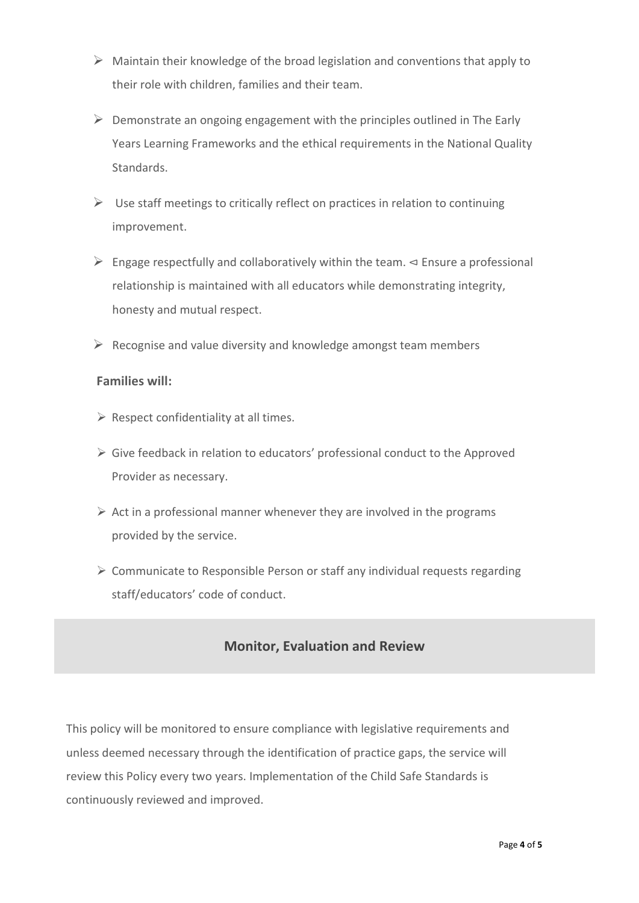- $\triangleright$  Maintain their knowledge of the broad legislation and conventions that apply to their role with children, families and their team.
- $\triangleright$  Demonstrate an ongoing engagement with the principles outlined in The Early Years Learning Frameworks and the ethical requirements in the National Quality Standards.
- $\triangleright$  Use staff meetings to critically reflect on practices in relation to continuing improvement.
- ➢ Engage respectfully and collaboratively within the team. ⊲ Ensure a professional relationship is maintained with all educators while demonstrating integrity, honesty and mutual respect.
- $\triangleright$  Recognise and value diversity and knowledge amongst team members

### **Families will:**

- $\triangleright$  Respect confidentiality at all times.
- ➢ Give feedback in relation to educators' professional conduct to the Approved Provider as necessary.
- $\triangleright$  Act in a professional manner whenever they are involved in the programs provided by the service.
- ➢ Communicate to Responsible Person or staff any individual requests regarding staff/educators' code of conduct.

## **Monitor, Evaluation and Review**

This policy will be monitored to ensure compliance with legislative requirements and unless deemed necessary through the identification of practice gaps, the service will review this Policy every two years. Implementation of the Child Safe Standards is continuously reviewed and improved.